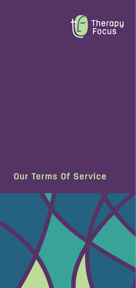

# **Our Terms Of Service**

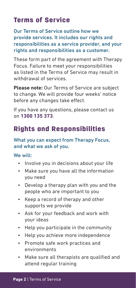## Terms of Service

Our Terms of Service outline how we provide services. It includes our rights and responsibilities as a service provider, and your rights and responsibilities as a customer.

These form part of the agreement with Therapy Focus. Failure to meet your responsibilities as listed in the Terms of Service may result in withdrawal of services.

**Please note:** Our Terms of Service are subject to change. We will provide four weeks' notice before any changes take effect.

If you have any questions, please contact us on **1300 135 373**.

## Rights and Responsibilities

#### What you can expect from Therapy Focus, and what we ask of you.

#### We will:

- Involve you in decisions about your life
- Make sure you have all the information you need
- Develop a therapy plan with you and the people who are important to you
- Keep a record of therapy and other supports we provide
- Ask for your feedback and work with your ideas
- Help you participate in the community
- Help you achieve more independence
- Promote safe work practices and environments
- Make sure all therapists are qualified and attend regular training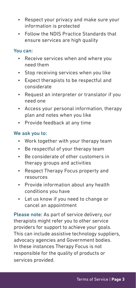- Respect your privacy and make sure your information is protected
- Follow the NDIS Practice Standards that ensure services are high quality

#### You can:

- Receive services when and where you need them
- Stop receiving services when you like
- Expect therapists to be respectful and considerate
- Request an interpreter or translator if you need one
- Access your personal information, therapy plan and notes when you like
- Provide feedback at any time

#### We ask you to:

- Work together with your therapy team
- Be respectful of your therapy team
- Be considerate of other customers in therapy groups and activities
- Respect Therapy Focus property and resources
- Provide information about any health conditions you have
- Let us know if you need to change or cancel an appointment

Please note: As part of service delivery, our therapists might refer you to other service providers for support to achieve your goals. This can include assistive technology suppliers, advocacy agencies and Government bodies. In these instances Therapy Focus is not responsible for the quality of products or services provided.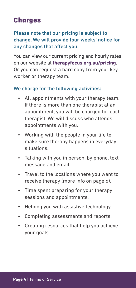### **Charges**

Please note that our pricing is subject to change. We will provide four weeks' notice for any changes that affect you.

You can view our current pricing and hourly rates on our website at **therapyfocus.org.au/pricing**. Or you can request a hard copy from your key worker or therapy team.

#### We charge for the following activities:

- All appointments with your therapy team. If there is more than one therapist at an appointment, you will be charged for each therapist. We will discuss who attends appointments with you.
- Working with the people in your life to make sure therapy happens in everyday situations.
- Talking with you in person, by phone, text message and email.
- Travel to the locations where you want to receive therapy (more info on page 6).
- Time spent preparing for your therapy sessions and appointments.
- Helping you with assistive technology.
- Completing assessments and reports.
- Creating resources that help you achieve your goals.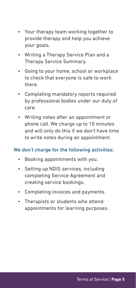- Your therapy team working together to provide therapy and help you achieve your goals.
- Writing a Therapy Service Plan and a Therapy Service Summary.
- Going to your home, school or workplace to check that everyone is safe to work there.
- Completing mandatory reports required by professional bodies under our duty of care.
- Writing notes after an appointment or phone call. We charge up to 10 minutes and will only do this if we don't have time to write notes during an appointment.

#### We don't charge for the following activities:

- Booking appointments with you.
- Setting up NDIS services, including completing Service Agreement and creating service bookings.
- Completing invoices and payments.
- Therapists or students who attend appointments for learning purposes.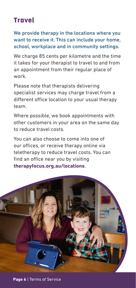# **Travel**

#### We provide therapy in the locations where you want to receive it. This can include your home, school, workplace and in community settings.

We charge 85 cents per kilometre and the time it takes for your therapist to travel to and from an appointment from their regular place of work.

Please note that therapists delivering specialist services may charge travel from a different office location to your usual therapy team.

Where possible, we book appointments with other customers in your area on the same day to reduce travel costs.

You can also choose to come into one of our offices, or receive therapy online via teletherapy to reduce travel costs. You can find an office near you by visiting **therapyfocus.org.au/locations**.

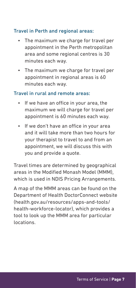#### Travel in Perth and regional areas:

- The maximum we charge for travel per appointment in the Perth metropolitan area and some regional centres is 30 minutes each way.
- The maximum we charge for travel per appointment in regional areas is 60 minutes each way.

#### Travel in rural and remote areas:

- If we have an office in your area, the maximum we will charge for travel per appointment is 60 minutes each way.
- If we don't have an office in your area and it will take more than two hours for your therapist to travel to and from an appointment, we will discuss this with you and provide a quote.

Travel times are determined by geographical areas in the Modified Monash Model (MMM), which is used in NDIS Pricing Arrangements.

A map of the MMM areas can be found on the Department of Health DoctorConnect website (health.gov.au/resources/apps-and-tools/ health-workforce-locator), which provides a tool to look up the MMM area for particular locations.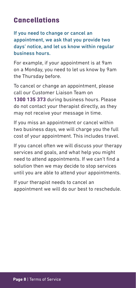## **Cancellations**

If you need to change or cancel an appointment, we ask that you provide two days' notice, and let us know within regular business hours.

For example, if your appointment is at 9am on a Monday, you need to let us know by 9am the Thursday before.

To cancel or change an appointment, please call our Customer Liaison Team on **1300 135 373** during business hours. Please do not contact your therapist directly, as they may not receive your message in time.

If you miss an appointment or cancel within two business days, we will charge you the full cost of your appointment. This includes travel.

If you cancel often we will discuss your therapy services and goals, and what help you might need to attend appointments. If we can't find a solution then we may decide to stop services until you are able to attend your appointments.

If your therapist needs to cancel an appointment we will do our best to reschedule.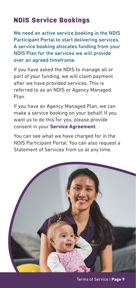# NDIS Service Bookings

We need an active service booking in the NDIS Participant Portal to start delivering services. A service booking allocates funding from your NDIS Plan for the services we will provide over an agreed timeframe.

If you have asked the NDIS to manage all or part of your funding, we will claim payment after we have provided services. This is referred to as an NDIS or Agency Managed Plan.

If you have an Agency Managed Plan, we can make a service booking on your behalf. If you want us to do this for you, please provide consent in your **Service Agreement**.

You can see what we have charged for in the NDIS Participant Portal. You can also request a Statement of Services from us at any time.

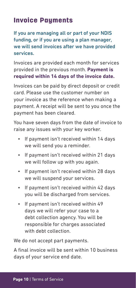### **Invoice Payments**

If you are managing all or part of your NDIS funding, or if you are using a plan manager, we will send invoices after we have provided services.

Invoices are provided each month for services provided in the previous month. **Payment is required within 14 days of the invoice date.**

Invoices can be paid by direct deposit or credit card. Please use the customer number on your invoice as the reference when making a payment. A receipt will be sent to you once the payment has been cleared.

You have seven days from the date of invoice to raise any issues with your key worker.

- If payment isn't received within 14 days we will send you a reminder.
- If payment isn't received within 21 days we will follow up with you again.
- If payment isn't received within 28 days we will suspend your services.
- If payment isn't received within 42 days you will be discharged from services.
- If payment isn't received within 49 days we will refer your case to a debt collection agency. You will be responsible for charges associated with debt collection.

We do not accept part payments.

A final invoice will be sent within 10 business days of your service end date.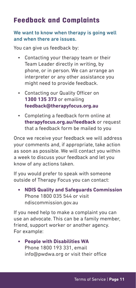# Feedback and Complaints

#### We want to know when therapy is going well and when there are issues.

You can give us feedback by:

- Contacting your therapy team or their Team Leader directly in writing, by phone, or in person. We can arrange an interpreter or any other assistance you might need to provide feedback.
- Contacting our Quality Officer on **1300 135 373** or emailing **feedback@therapyfocus.org.au**
- Completing a feedback form online at **therapyfocus.org.au/feedback** or request that a feedback form be mailed to you

Once we receive your feedback we will address your comments and, if appropriate, take action as soon as possible. We will contact you within a week to discuss your feedback and let you know of any actions taken.

If you would prefer to speak with someone outside of Therapy Focus you can contact:

**• NDIS Quality and Safeguards Commission** Phone 1800 035 544 or visit ndiscommission.gov.au

If you need help to make a complaint you can use an advocate. This can be a family member, friend, support worker or another agency. For example:

**• People with Disabilities WA** Phone 1800 193 331, email info@pwdwa.org or visit their office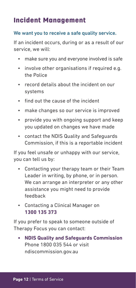### Incident Management

#### We want you to receive a safe quality service.

If an incident occurs, during or as a result of our service, we will:

- make sure you and everyone involved is safe
- involve other organisations if required e.g. the Police
- record details about the incident on our systems
- find out the cause of the incident
- make changes so our service is improved
- provide you with ongoing support and keep you updated on changes we have made
- contact the NDIS Quality and Safeguards Commission, if this is a reportable incident

If you feel unsafe or unhappy with our service, you can tell us by:

- Contacting your therapy team or their Team Leader in writing, by phone, or in person. We can arrange an interpreter or any other assistance you might need to provide feedback
- Contacting a Clinical Manager on **1300 135 373**

If you prefer to speak to someone outside of Therapy Focus you can contact:

**• NDIS Quality and Safeguards Commission** Phone 1800 035 544 or visit ndiscommission.gov.au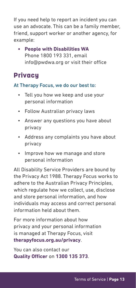If you need help to report an incident you can use an advocate. This can be a family member, friend, support worker or another agency, for example:

**• People with Disabilities WA** Phone 1800 193 331, email info@pwdwa.org or visit their office

### **Privacy**

#### At Therapy Focus, we do our best to:

- Tell you how we keep and use your personal information
- Follow Australian privacy laws
- Answer any questions you have about privacy
- Address any complaints you have about privacy
- Improve how we manage and store personal information

All Disability Service Providers are bound by the Privacy Act 1988. Therapy Focus works to adhere to the Australian Privacy Principles, which regulate how we collect, use, disclose and store personal information, and how individuals may access and correct personal information held about them.

For more information about how privacy and your personal information is managed at Therapy Focus, visit **therapyfocus.org.au/privacy**.

You can also contact our **Quality Officer** on **1300 135 373**.